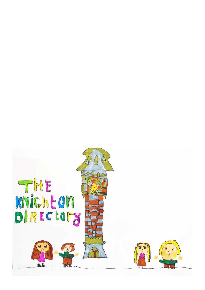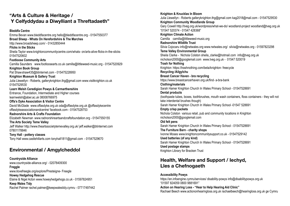## **"Arts & Culture & Heritage / Y Celfyddydau a Diwylliant a Threftadaeth"**

**Bleddfa Centre** Emma Bevan www.bleddfacentre.org hello@bleddfacentre.org - 01547550377 **Broad Sheep - Whats On Herefordshire & The Marches** http://www.broadsheep.com/ - 01432850444 **Flicks in the Sticks** Sheila Taylor www.knightoncommunitycentre.com/whats- on/arts-alive-flicks-in-the-sticks 01547520602 **Footloose Community Arts** Camilla Saunders www.footloosearts.co.uk camilla@littleweed-music.org - 01547520929 **Knighton Book Group** Pat Shawshaw435@btinternet.com - 015475228950 **Knighton Museum & Gallery Trust** Julia Llewellyn - Roberts, galleryknighton.thg@gmail.com www.visitknighton.co.uk 01547529530 **Learn Welsh Ceredigion Powys & Carmarthenshire** Entrance, Foundation, Intermediate and Higher courses learnwelsh@aber.ac.uk 08008766975 **Offa's Dyke Association & Visitor Centre** David McGlade www.offasdyke.org.uk oda@offasdyke.org.uk @offasdykecentre offasdykeassociationandcentre/ facebook.com - 01547528753 **Radnorshire Arts & Crafts Foundation** Elizabeth Newman www.radnorshireartsandcraftsfoundation.org - 01547550155 **The Arts Society Teme Valley** Jeff Walker http://www.theartssocietytemevalley.org.uk/ jeff.walker@btinternet.com 07801178846 **Tony Hall - pottery classes** Tony Hall www.castlehillarts.com tonyhall1811@gmail.com - 01547529670

## **Environmental / Amgylcheddol**

**Countryside Alliance** www.countryside-alliance.org/ - 02078409300 **Freggle** www.ilovefreegle.org/explore/Presteigne- Freegle **Howey Hedgehog Rescue** Elaine & Nigel Acton www.howeyhedgehogs.co.uk - 01597824951 **Keep Wales Tidy** Rachel Palmer rachel.palmer@keepwalestidy.cymru - 07717497442

**Knighton & Knucklas In Bloom** Julia Llewellyn - Roberts galleryknighton.thg@gmail.com kag2018@mail.com - 01547529530 **Knighton Community Woodlands Group** Gary Cowell http://tveg.org.uk/wordpress/what-we-do/ woodland-project woodland@tveg.org.uk "01547 520374 - 01547 428368" **Knighton Climate Action** Camilla camilla@littleweed-music.org **Radnorshire Wildlife Trust** Silvia Cojocaru info@rwtwales.org www.rwtwales.org/ silvia@rwtwales.org - 01597823298 **Teme Valley Environmental Group** Sheila Clarke - Nichola Colston sheila clarke@hotmail.com info@tveg.org.uk nicholson2000@googlemail.com www.tveg.org.uk - 01547 520019 **Trash for Nothing** Knighton https://trashnothing.com/beta/knighton- freecycle **Recycling /Ailgylchu Breast Cancer Haven - bra recycling** https://www.breastcancerhaven.org.uk/find- a-bra-bank **Clothing/materials** Sarah Hamer Knighton Church In Wales Primary School - 01547528691 **Dental products**  (toothpaste tubes, boxes, toothbrushes, mouth wash containers, floss containers - they will not take interdental brushes though) Sarah Hamer Knighton Church In Wales Primary School -01547 528691 **Empty crisp packets** Nichola Colston various retail, pub and community locations in Knighton nicholson2000@googlemail.com **Old felt pens** Sarah Hamer Knighton Church In Wales Primary School - 01547528691 **The Furniture Barn - charity shops** Ivonne Moses www.knightoncommunitysupport.co.uk - 01547529142 **Used batteries (of any kind)** Sarah Hamer Knighton Church In Wales Primary School - 01547528691 **Used postage stamps** Knighton Library for Bracken Trust

## **Health, Welfare and Support / Iechyd, Lles a Chefnogaeth**

**Accessibility Powys** https://en.infoengine.cymru/services/ disability-powys info@disabilitypowys.org.uk "01597 824059 0800 9881691" **Action on Hearing Loss - "Hear to Help Hearing Aid Clinic"** Rachael Beech www.actiononhearingloss.org.uk rachaelbeech@hearingloss.org.uk ge Cymru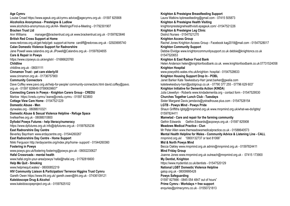#### **Age Cymru** Louise Croad https://www.ageuk.org.uk/cymru advice@agecymru.org.uk - 01597 825908 **Alcoholics Anonymous - Presteigne & Ludlow** www.alcoholics-anonymous.org.uk/AA- Meetings/Find-a-Meeting - 01792301907 **Bracken Trust Ltd** Ann Williams manager@brackentrust.org.uk www.brackentrust.org.uk - 01597823646 **British Red Cross Support at Home** www.redcross.org.uk/get-help/get- support-at-home cardiff@redcross.org.uk - 02920695740 **Calan Domestic Violence Support for Radnorshire** Jane Powell www.calandvs.org.uk JPowell@Calandvs.org.uk - 01597824655 **Care & Repair in Powys** https://www.crpowys.co.uk/english/ - 01686620760 **Childline** childline.org.uk - 08001111 **Cinnamon Trust - pet care elderly/ill** www.cinnamon.org.uk - 01736757900 **Community Connectors** Dave Coffey www.pavo.org.uk/help-for-people/ community-connectors.html david.coffey@pavo. org.uk - 01597 828649 07590639607" **Connecting Carers in Powys - Knighton Carers Group - CREDU** Marlow https://credu.cymru/ leane@credu.cymru - 01597 823800 **Cottage View Care Home** - 01547521229 **Domestic Abuse - Men** dynwales.org - 08088010321 **Domestic Abuse & Sexual Violence Helpline - Refuge Space** livefearfree.org.uk - 08088010800 **Dyfodol Powys Futures - help literacy/numeracy** https://www.dpfutures.org.uk info@dpfutures.org.uk - 01597825236 **East Radnorshire Day Centre** Beverley Baynham www.erdaycentre.org - 01544260267 **East Radnorshire Day Centre - Home Support** Nikki Ferguson http://erdaycentre.org/index.php/home- support/ - 01544260360 **Fostering in Powys** www.powys.gov.uk/fostering fostering@powys.gov.uk - 08002230627 **Hafal Crossroads - mental health** www.hafal.org/in-your-area/powys/ hafal@hafal.org - 01792816600 **Help Me Quit - Smoking** www.helpmequit.wales/ - 08000852219 **HIV Community Liaison & Participation/ Terrence Higgins Trust Cymru** Gareth Owen https://www.tht.org.uk/ gareth.owen@tht.org.uk - 07436109121 **Kaleidoscope Drug & Alcohol** www.kaleidoscopeproject.org.uk - 01597825102

**Knighton & Presteigne Breastfeeding Support** Laura Watkins kpbreasfeeding@gmail.com - 07415 505873 **Knighton & Presteigne Health Visiting** knightonpresteignehealthvisiti.epageuk.com/ -01547521226 **Knighton & Presteigne Leg Clinic** District Nurses - 01547521270 **Knighton Access Group** Rachel Jones Knighton Access Group - Facebook kag2018@mail.com - 01547528017 **Knighton Community Support** Debbie Elvidge www.knightoncommunitysupport.co.uk debbie@knightoncs.co.uk 01547520653 **Knighton & East Radnor Food Bank** Helen Anderson helen@knightonfoodbank.co.uk. www.knightonfoodbank.co.uk 07731524058 **Knighton Hospital** www.powysthb.wales.nhs.uk/knighton- hospital - 01547528633 **Knighton Housing Support Drop In - POBL** Janet Barker Kate Tewkesbury-Harr janet.barker@gwalia.com katetewkesbury-harr@poblgroup.co.uk - 07790 377 255 - 07796 629 603" **Knighton Initiative for Dementia Action (KINDA**) Julia Llewellyn - Roberts www.kindadementia.org - contact form - 01547529530 **Churches Together Lunch Club - Tuesdays** Sister Margaret Davis jamdavis@ystradhouse.plus.com - 01547528154 **LGTB - Powys Mind - Powys Pride** Shaun Griffiths lgbtg@mnpmind.org.uk www.mnpmind.org.uk/what-we-do/lgbtq/ 01597824411 **Mamwlad - Care and repair for the farming community** Gethin Edwards Gethin.Edwards@acpowys.org.uk - 01597 825908 **Meadows Medical Practice - Clun** Mr Peter Allen www.themeadowsmedicalpractice.co.uk - 01588640573 **Mental Health Helpline for Wales - Community Advice & Listening Line - CALL** mnpmind.org.uk/ "0800132737 or text 81066" **Mid & North Powys Mind** Becca Oakley www.mnpmind.org.uk admin@mnpmind.org.uk - 01597824411 **Mind Friday Group** Joanne Jones www.mnpmind.org.uk outreach@mnpmind.org.uk - 07415 173900 **My Dentist, Knighton** https://www.mydentist.co.uk/dentists - 01547520129 **National LGBT Domestic Violence Helpline** galop.org.uk - 08009995428 **Powys Safeguarding** 01597 827666 - 0845 054 4847 out of hours" **Prime Cymru - Workdays + free support** enquries@primecymru.co.uk - 01550721813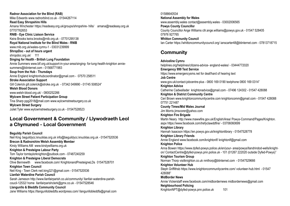**Radnor Association for the Blind (RAB)** Mike Edwards www.radnorblind.co.uk - 01544267114 **Read Easy Shropshire Hills** Amana Winchester https://readeasy.org.uk/groups/shropshire- hills/ amana@readeasy.org.uk 07707762653 **RNIB - Eye Clinic Liaison Service** Keira Brooks keira.brooks@rnib.org.uk - 07701295138 **Royal National Institute for the Blind Wales - RNIB** www.rnib.org.uk/wales-cymru-1 - 03031239999 **ShropDoc - out of hours urgent** shropdoc.org.uk/ 111 **Singing for Health - British Lung Foundation** Annie Summers www.blf.org.uk/support-in-your-area/singing- for-lung-health-knighton anniesummers@btinternet.com - 01568771983 **Soup from the Hub - Thursdays** Annie England knightonhubcoordinator@gmail.com - 07570 258511 **Stroke Association Support** Gill Colerick gill.colerick@stroke.org.uk - 07342 049990 - 01745 508524" **Welsh Blood Donors** www.welsh-blood.org.uk/ - 0800252266 **Wylcwm Street Patient Participation Group** Tina Sharp ppg2018@mail.com www.wylcwmstreetsurgery.co.uk **Wylcwm Street Surgery** Juliet Tyler www.wylcwmstreetsurgery.co.uk - 01547528523

## **Local Government & Community / Llywodraeth Leol a Chymuned - Local Government**

**Beguildy Parish Council** Neil King beguildycc.knucklas.org.uk info@beguildycc.knucklas.org.uk - 01547520536 **Brecon & Radnorshire Welsh Assembly Member** Kirsty Williams AM www.kirstywilliams.org.uk **Knighton & Presteigne Labour Party** Tom Taylor tomtaylorknighton@outlook.com - 07487240259 **Knighton & Presteigne Liberal Democrats** Olive Bennewith www.facebook.com/ KnightonandPresteigneLDs 01547528701 **Knighton Town Council** Neil King - Town Clerk neil.king321@gmail.com - 01547520536 **Llanfair Waterdine Parish Council** Sarah Jameson http://www.llanfairparish.co.uk/community/ llanfair-waterdine-parishcoucil-12532/ home llanfairparishclerk@gmx.co.uk - 01547528546 **Llangunllo & Bleddfa Community Council** Jane Williams https://llangunllobleddfa.wordpress.com/ llangunllobleddfa@gmail.com

01588640534 **National Assembly for Wales** www.assembly.wales contact@assembly.wales - 03002006565 **Powys County Councillo**r County Councillor Ange Williams cllr.ange.williams@powys.gov.uk - 01547 528405 07976 927765 **Whitton Community Council** Ian Carter https://whittoncommunitycouncil.org/ ianscarter48@btinternet.com - 07813718715

# **Community**

**Adviceline Cymru** helplines.org/helplines/citizens-advice- england-wales/ - 03444772020 **Emergency 999 Text Service** https://www.emergencysms.net for deaf/hard of hearing text **Job Centre** www.gov.uk/contact-jobcentre-plus - 0800 169 0190 textphone 0800 169 0314" **Knighton Advice**  Catherine Cadwallader knightonadvice@gmail.com - 07496 124302 - 01547 428088 **Knighton & District Community Centre** Ceri Brown www.knightoncommunitycentre.com knightoncomm@gmail.com - 01547 428088 07751 221487 **County Times/Mid Wales Journal** Jim Morris jimscorer@yahoo.com **Knighton Fire Brigade** Martin Neary http://www.mawwfire.gov.uk/English/Area/ Powys-Command/Pages/Knighton. aspx https://www.facebook.com/trefyclawddfire/ - 03706060699 **Knighton Library** Hannah Isaacson https://en.powys.gov.uk/knightonlibrary - 01547528778 **Knighton Library Friends** Annie England www.facebook.com/knightonlf/ knightonlf@gmail.com **Knighton Police** Anna Bowen https://www.dyfed-powys.police.uk/en/your- area/powys/llandrindod-wells/knighton/ ContactCentre@dyfed-powys.pnn.police.uk - 101 (01267 222020 outside Dyfed-Powys)" **Knighton Tourism Group** Norman Thorp visitknighton.co.uk nmthorp@btinternet.com - 01547529666 **Knighton Volunteer Hub** Steph Griffithsb https://www.knightoncommunitycentre.com/ volunteer-hub.html - 01547 428088" **MidBorder News** Annie Vickerstaff www.facebook.com/midbordernews midbordernews@gmail.com **Neighbourhood Policing** KnightonNPT@dyfed-powys.pnn.police.uk 101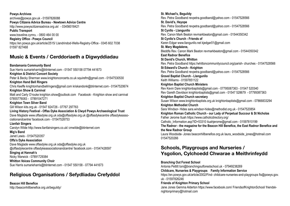**Powys Archives** archives@powys.gov.uk - 01597826088 **Powys Citizens Advice Bureau - Newtown Advice Centre** http://www.powyscitizensadvice.org.uk/ - 03456018421 **Public Transport** www.traveline.cymru. - 0800 464 00 00 **Registry Office - Powys Council** https://en.powys.gov.uk/article/2515/ Llandrindod-Wells-Registry-Office - 0345 602 7038 01597 827468

## **Music & Events / Cerddoriaeth a Digwyddiadau**

**Bandamania Community Band** Sue Harris sumarieharris@btinternet.com - 01547 550158 07794 441673 **Knighton & District Concert Society** Peter & Becky Sherman www.knightonconcerts.co.uk squirefm@gmail.com - 01547530530 **Knighton Hand Bell Ringers** Chris Keeffe knightonhandbellringers@gmail.com kriskandonk@btinternet.com- 01547520674 **Knighton Show & Carnival** Matt and Carly O'rouke knighton.show@outlook.com Facebook - Knighton show and carnival 07855776083 - 07891047271 **Knighton Town Silver Band** Gill Wilson kits.org.uk - 01547 824726 - 07767 297763 **Living History Festival - Offas Dyke Association & Clwyd Powys Archaeological Trust** Dave Maglade www.offasdyke.org.uk oda@offasdyke.org.uk @offasdykecentre offasdykeassociationandcentre/ facebook.com - 01547528753 **Llanfair Singers** Carolyn Wilde http://www.llanfairsingers.co.uk/ cmwilde@btinternet.com **Mig's Band** Janet Lewis - 01547520357 **Offa's Dyke Association**  Dave Maglade www.offasdyke.org.uk oda@offasdyke.org.uk @offasdykecentre offasdykeassociationandcentre/ facebook.com - 01547428597 **Singing at Hannah's** Nicky Warwick - 07891729384 **Whitton Voices Community Choir** Sue Harris sumarieharris@btinternet.com - 01547 550158 - 07794 441673

# **Religious Organisations / Sefydliadau Crefyddol**

**Beacon Hill Benefice** http://beaconhillbenefice.org.uk/beguildy/ **St. Michael's, Beguildy** Rev. Petra Goodband revpetra.goodband@yahoo.com - 01547528566 **St. David's, Heyope** Rev. Petra Goodband revpetra.goodband@yahoo.com - 01547528566 **St Cynllo - Llangunllo** Rev. Canon Mark Beaton revmarkbeaton@gmail.com - 01544350342 **St Cynllo's Church - Friends of** Karen Edgar www.llangunllo.net kjedgar01@gmail.com **St. Mary Magdalene,** Bleddfa Rev. Canon Mark Beaton revmarkbeaton@gmail.com - 01544350342 **East Radnor Benefice St David's Church, Whitton** Rev. Petra Goodband https://whittoncommunitycouncil.org/parish- churches - 01547528566 **St Edward's Church - Knighton** Rev. Petra Goodband revpetra.goodband@yahoo.com - 01547528566 **Gravel Baptist Church - Llangunllo** Keith Williams - 01597851122 **Knighton Baptist Church Ministers** Rev Kevin Dare knightonbaptists@gmail.com - 07795087363 - 01547 520340 Rev Gareth Davidson knightonbaptists@gmail.com - 01547 528679 - 07795087363 **Knighton Baptist Church secretary** Susan Wilson www.knightonbaptists.org.uk knightonbaptists@gmail.com - 07866833294 **Knighton Methodist Church** Sara Windsor- Hides sara.windsor-hides@methodist.org.uk - 01547520854 **Knighton Roman Catholic Church - our Lady of Perpetual Succour & St Nicholas** Father Jerome Ituah https://www.catholicdirectory.org/ Catholic\_Information.asp?ID=53310 ituahjerome@gmail.com - 01597810199 **The Radnor - the magazine for the Beacon Hill Benefice, the East Radnor Benefice and the New Radnor Group** Laura Woodside- Jones beaconhillbenefice.org.uk laura\_woodside\_jones@hotmail.com 01547520266

## **Schools, Playgroups and Nurseries / Ysgolion, Cylchoedd Chwarae a Meithrinfeydd**

### **Branching Out Forest School**

Antonia Pettitt toni@branchingoutforestschool.uk - 07949238269 **Childcare, Nurseries & Playgroups Family Information Service** https://en.powys.gov.uk/article/2002/Find- childcare-nurseries-and-playgroups fis@powys.gov. uk - 01597826246

#### **Friends of Knighton Primary School**

Jane Jones Gemma Alderton https://www.facebook.com/ FriendsofKnightonSchool/ friendsknightonprimary@hotmail.com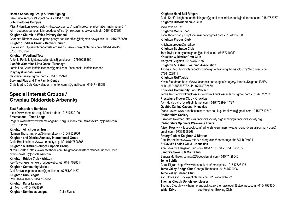**Homes Schooling Group & Hand Signing** Sam Price samprice95@aol.co.uk - 01547560476 **John Beddoes Campus** Miss J Hamilton jwww.newtown-hs.powys.sch.uk/main/ index.php/information-mainmenu-61/ john- beddoes-campus johnbeddoes-office @ newtown-hs.powys.sch.uk - 01544267259 **Knighton Church in Wales Primary School** Charlotte Rimmer www.knighton.powys.sch.uk/ office@knighton.powys.sch.uk - 01547528691 **Knighton Toddler Group - Baptist Church** Sue Wilson http://knightonbaptists.org.uk/ gsusanwilson@btinternet.com - 01544 267456 0786 6833 294 **Knighton Woodland Tots** Antonia Pettitt knightonwoodlandtots@gmail.com - 07949238269 **Llanfair Waterdine Little Ones - Tuesdays** Jamie Lee-Court llanfairlittleones@gmail.com Face book-Llanfairlittleones **PlaydaysHannah Lewis** playdaysnursery@gmail.com - 01547 529920 **Stay and Play and The Family Centre** Chris Martin, Cats Cadwallader knightoncomm@gmail.com - 01547 428088

### **Special Interest Groups / Grwpiau Diddordeb Arbennig**

**East Radnorshire Ramblers** https://www.ramblers.org.uk/east-radnor - 01547530120 **Freemasons - Teme Lodge** Roger Powell http://www.temelodge4267.org.uk/index.html temesec4267@gmail.com 01597811179 **Knighton Almshouses Trust** Norman Thorp nmthorp@btinternet.com - 01547529666 **Knighton and District Amnesty International Group** Chris Brookes https://www.amnesty.org.uk/ - 01547528866 **Knighton & District Refugee Support Group** Nicola Colston https://www.facebook.com/ KnightonandDistrictRefugeeSupportGroup nicholson2000@googlemail.com **Knighton Bridge Club - Whitton** Kay Taylor knighton.welshbridgewebs.net - 01547528614 **Knighton Community Market** Ceri Brown knightoncomm@gmail.com - 07751221487 **Knighton Crib League** Rob Cadwallader - 01547528751 **Knighton Darts League** Jim Morris - 01547528626 **Knighton Dominoes League** Colin Evans

**Knighton Hand Bell Ringers** Chris Keeffe knightonhandbellringers@gmail.com kriskandonk@btinternet.com- 01547520674 **Knighton Historic Vehicle Club** www.khvc.co.uk/ **Knighton Men's Shed** John Thorogood jtknightonmensshed@gmail.com - 01544232750 **Knighton Probus Club** Knighton.probus@gmail.com **Knighton Subbuteo Club** Tom Taylor tomtaylorknighton@outlook.com - 07487240259 **Knucklas & District Craft Club** Margaret Clugston - 01547529155 **Knighton & District Twinning Association** Thomas Clough www.facebook.com/knightontwinning thomasclough@btconnect.com 07964023841 **Knighton RAFA club** Kevin Steadman https://www.facebook.com/pages/category/ Interest/Knighton-RAFAclub-1569175856673214/ - 07964782479 **Knucklas Community Land Project** Jamie Ritchie www.knucklascastle.org.uk knucklascastleclt@gmail.com - 01547520263 **Presteigne Flower Club - Knucklas** Avril Hoyle avril.hoyle@btinternet.com - 01547529244 ??? **Quabbs Canine Capers - Knucklas** Diana Lavers www.quabbscaninecapers.co.uk guifronlavers@gmail.com - 01547510342 **Radnorshire Society** Elizabeth Newman https://radnorshiresociety.org/ admin@radnorshiresociety.org **Radnorshire Spinners Weavers & Dyers** Alison Ross www.facebook.com/radnorshire-spinners- weavers-and-dyers alisonmaryross@ gmail.com - 07399668268 **Rotary Club of Knighton & District** Paul Barrett https://www.rotary-ribi.org/clubs/ homepage.php?ClubID=931 **St David's Ladies Guild - Knucklas** Ann Edwards Margaret Clugston - 01547 510631 - 01547 529155 **Sandra's Sewing & Craft Club** Sandra Matthews sannyg52@googlemail.com - 01547428040 **Teme Spirits** Carol Pigram https://www.facebook.com/temespirits/ - 01547528406 **Teme Valley Bridge Club** George Thompson - 01547529926 **Teme Valley Garden Club** Avril Hoyle avril.hoyle@btinternet.com 01547529244 ?? **Thomas Clough Upholstery classes** Thomas Clough www.hammerandtack.co.uk thomasclough@btconnect.com - 01547529704 **Whist Drive** see Knighton Bowling Club